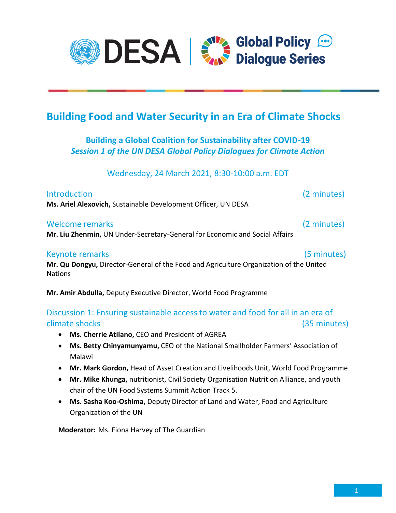

# **Building Food and Water Security in an Era of Climate Shocks**

# **Building a Global Coalition for Sustainability after COVID-19** *Session 1 of the UN DESA Global Policy Dialogues for Climate Action*

Wednesday, 24 March 2021, 8:30-10:00 a.m. EDT

| <b>Introduction</b>                                           |  |
|---------------------------------------------------------------|--|
| Ms. Ariel Alexovich, Sustainable Development Officer, UN DESA |  |

#### Welcome remarks (2 minutes)

**Mr. Liu Zhenmin,** UN Under-Secretary-General for Economic and Social Affairs

### Keynote remarks(5 minutes)

 $(2 \text{ minutes})$ 

**Mr. Qu Dongyu,** Director-General of the Food and Agriculture Organization of the United **Nations** 

**Mr. Amir Abdulla,** Deputy Executive Director, World Food Programme

## Discussion 1: Ensuring sustainable access to water and food for all in an era of climate shocks (35 minutes)

- **Ms. Cherrie Atilano,** CEO and President of AGREA
- **Ms. Betty Chinyamunyamu,** CEO of the National Smallholder Farmers' Association of Malawi
- **Mr. Mark Gordon,** Head of Asset Creation and Livelihoods Unit, World Food Programme
- **Mr. Mike Khunga,** nutritionist, Civil Society Organisation Nutrition Alliance, and youth chair of the UN Food Systems Summit Action Track 5.
- **Ms. Sasha Koo-Oshima,** Deputy Director of Land and Water, Food and Agriculture Organization of the UN

**Moderator:** Ms. Fiona Harvey of The Guardian